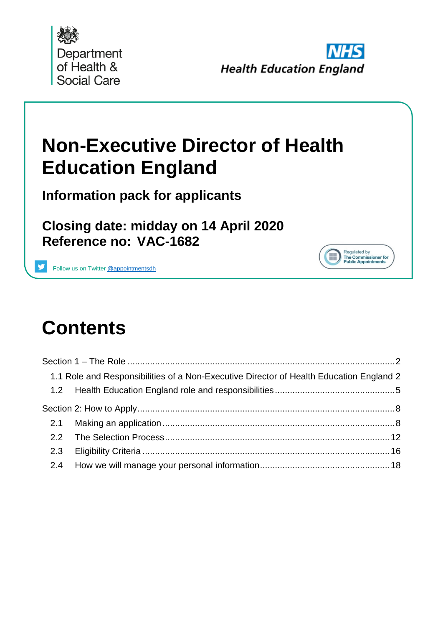



Regulated by<br>The Commissioner for<br>Public Appointments

# **Non-Executive Director of Health Education England**

**Information pack for applicants**

**Closing date: midday on 14 April 2020 Reference no: VAC-1682**

Follow us on Twitter [@appointmentsdh](https://twitter.com/search?q=%40appointmentsdh&src=typd)

# **Contents**

| 1.1 Role and Responsibilities of a Non-Executive Director of Health Education England 2 |  |
|-----------------------------------------------------------------------------------------|--|
|                                                                                         |  |
|                                                                                         |  |
|                                                                                         |  |
|                                                                                         |  |
|                                                                                         |  |
|                                                                                         |  |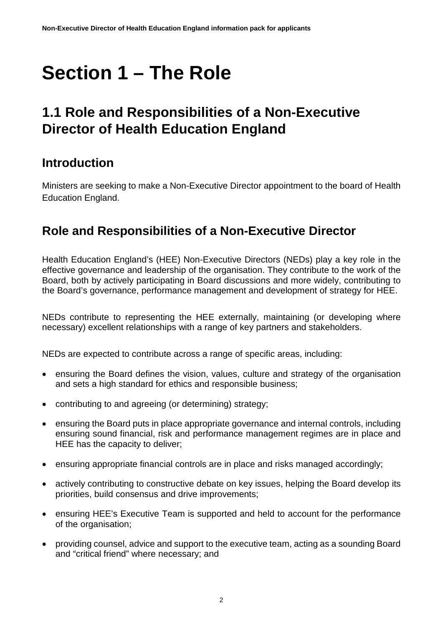# <span id="page-1-0"></span>**Section 1 – The Role**

# <span id="page-1-1"></span>**1.1 Role and Responsibilities of a Non-Executive Director of Health Education England**

### **Introduction**

Ministers are seeking to make a Non-Executive Director appointment to the board of Health Education England.

## **Role and Responsibilities of a Non-Executive Director**

Health Education England's (HEE) Non-Executive Directors (NEDs) play a key role in the effective governance and leadership of the organisation. They contribute to the work of the Board, both by actively participating in Board discussions and more widely, contributing to the Board's governance, performance management and development of strategy for HEE.

NEDs contribute to representing the HEE externally, maintaining (or developing where necessary) excellent relationships with a range of key partners and stakeholders.

NEDs are expected to contribute across a range of specific areas, including:

- ensuring the Board defines the vision, values, culture and strategy of the organisation and sets a high standard for ethics and responsible business;
- contributing to and agreeing (or determining) strategy;
- ensuring the Board puts in place appropriate governance and internal controls, including ensuring sound financial, risk and performance management regimes are in place and HEE has the capacity to deliver;
- ensuring appropriate financial controls are in place and risks managed accordingly;
- actively contributing to constructive debate on key issues, helping the Board develop its priorities, build consensus and drive improvements;
- ensuring HEE's Executive Team is supported and held to account for the performance of the organisation;
- providing counsel, advice and support to the executive team, acting as a sounding Board and "critical friend" where necessary; and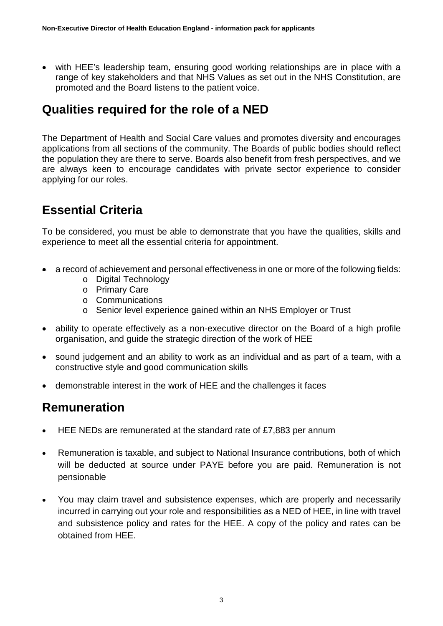• with HEE's leadership team, ensuring good working relationships are in place with a range of key stakeholders and that NHS Values as set out in the NHS Constitution, are promoted and the Board listens to the patient voice.

### **Qualities required for the role of a NED**

The Department of Health and Social Care values and promotes diversity and encourages applications from all sections of the community. The Boards of public bodies should reflect the population they are there to serve. Boards also benefit from fresh perspectives, and we are always keen to encourage candidates with private sector experience to consider applying for our roles.

### **Essential Criteria**

To be considered, you must be able to demonstrate that you have the qualities, skills and experience to meet all the essential criteria for appointment.

- a record of achievement and personal effectiveness in one or more of the following fields:
	- o Digital Technology
	- o Primary Care
	- o Communications
	- o Senior level experience gained within an NHS Employer or Trust
- ability to operate effectively as a non-executive director on the Board of a high profile organisation, and guide the strategic direction of the work of HEE
- sound judgement and an ability to work as an individual and as part of a team, with a constructive style and good communication skills
- demonstrable interest in the work of HEE and the challenges it faces

### **Remuneration**

- HEE NEDs are remunerated at the standard rate of £7,883 per annum
- Remuneration is taxable, and subject to National Insurance contributions, both of which will be deducted at source under PAYE before you are paid. Remuneration is not pensionable
- You may claim travel and subsistence expenses, which are properly and necessarily incurred in carrying out your role and responsibilities as a NED of HEE, in line with travel and subsistence policy and rates for the HEE. A copy of the policy and rates can be obtained from HEE.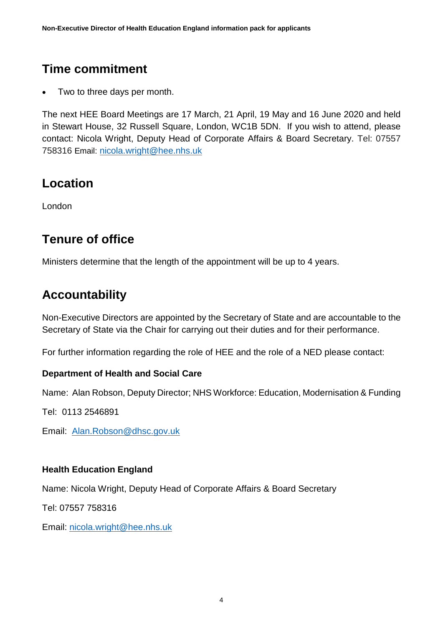## **Time commitment**

• Two to three days per month.

The next HEE Board Meetings are 17 March, 21 April, 19 May and 16 June 2020 and held in Stewart House, 32 Russell Square, London, WC1B 5DN. If you wish to attend, please contact: Nicola Wright, Deputy Head of Corporate Affairs & Board Secretary. Tel: 07557 758316 Email: [nicola.wright@hee.nhs.uk](mailto:nicola.wright@hee.nhs.uk)

### **Location**

London

### **Tenure of office**

Ministers determine that the length of the appointment will be up to 4 years.

### **Accountability**

Non-Executive Directors are appointed by the Secretary of State and are accountable to the Secretary of State via the Chair for carrying out their duties and for their performance.

For further information regarding the role of HEE and the role of a NED please contact:

#### **Department of Health and Social Care**

Name: Alan Robson, Deputy Director; NHS Workforce: Education, Modernisation & Funding

Tel: 0113 2546891

Email: [Alan.Robson@dhsc.gov.uk](mailto:Alan.Robson@dhsc.gov.uk)

#### **Health Education England**

Name: Nicola Wright, Deputy Head of Corporate Affairs & Board Secretary

Tel: 07557 758316

Email: [nicola.wright@hee.nhs.uk](mailto:nicola.wright@hee.nhs.uk)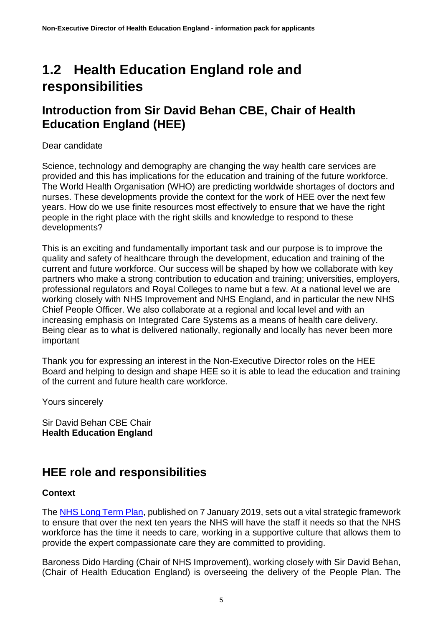# <span id="page-4-0"></span>**1.2 Health Education England role and responsibilities**

#### **Introduction from Sir David Behan CBE, Chair of Health Education England (HEE)**

#### Dear candidate

Science, technology and demography are changing the way health care services are provided and this has implications for the education and training of the future workforce. The World Health Organisation (WHO) are predicting worldwide shortages of doctors and nurses. These developments provide the context for the work of HEE over the next few years. How do we use finite resources most effectively to ensure that we have the right people in the right place with the right skills and knowledge to respond to these developments?

This is an exciting and fundamentally important task and our purpose is to improve the quality and safety of healthcare through the development, education and training of the current and future workforce. Our success will be shaped by how we collaborate with key partners who make a strong contribution to education and training; universities, employers, professional regulators and Royal Colleges to name but a few. At a national level we are working closely with NHS Improvement and NHS England, and in particular the new NHS Chief People Officer. We also collaborate at a regional and local level and with an increasing emphasis on Integrated Care Systems as a means of health care delivery. Being clear as to what is delivered nationally, regionally and locally has never been more important

Thank you for expressing an interest in the Non-Executive Director roles on the HEE Board and helping to design and shape HEE so it is able to lead the education and training of the current and future health care workforce.

Yours sincerely

Sir David Behan CBE Chair **Health Education England**

### **HEE role and responsibilities**

#### **Context**

The [NHS Long Term Plan,](http://www.longtermplan.nhs.uk/) published on 7 January 2019, sets out a vital strategic framework to ensure that over the next ten years the NHS will have the staff it needs so that the NHS workforce has the time it needs to care, working in a supportive culture that allows them to provide the expert compassionate care they are committed to providing.

Baroness Dido Harding (Chair of NHS Improvement), working closely with Sir David Behan, (Chair of Health Education England) is overseeing the delivery of the People Plan. The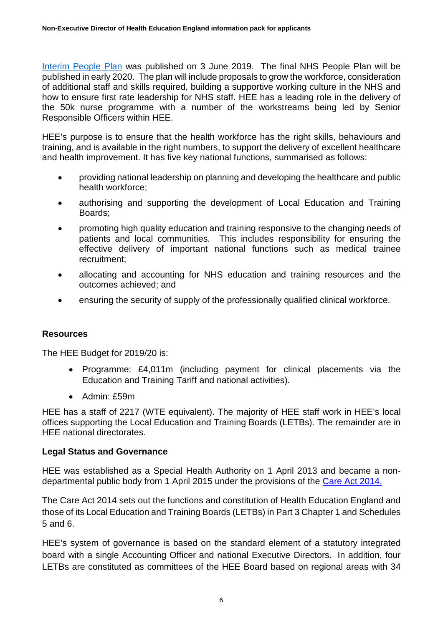[Interim People Plan](https://improvement.nhs.uk/resources/interim-nhs-people-plan/) was published on 3 June 2019. The final NHS People Plan will be published in early 2020. The plan will include proposals to grow the workforce, consideration of additional staff and skills required, building a supportive working culture in the NHS and how to ensure first rate leadership for NHS staff. HEE has a leading role in the delivery of the 50k nurse programme with a number of the workstreams being led by Senior Responsible Officers within HEE.

HEE's purpose is to ensure that the health workforce has the right skills, behaviours and training, and is available in the right numbers, to support the delivery of excellent healthcare and health improvement. It has five key national functions, summarised as follows:

- providing national leadership on planning and developing the healthcare and public health workforce;
- authorising and supporting the development of Local Education and Training Boards;
- promoting high quality education and training responsive to the changing needs of patients and local communities. This includes responsibility for ensuring the effective delivery of important national functions such as medical trainee recruitment;
- allocating and accounting for NHS education and training resources and the outcomes achieved; and
- ensuring the security of supply of the professionally qualified clinical workforce.

#### **Resources**

The HEE Budget for 2019/20 is:

- Programme: £4,011m (including payment for clinical placements via the Education and Training Tariff and national activities).
- Admin: £59m

HEE has a staff of 2217 (WTE equivalent). The majority of HEE staff work in HEE's local offices supporting the Local Education and Training Boards (LETBs). The remainder are in HEE national directorates.

#### **Legal Status and Governance**

HEE was established as a Special Health Authority on 1 April 2013 and became a nondepartmental public body from 1 April 2015 under the provisions of the [Care Act 2014.](http://www.legislation.gov.uk/ukpga/2014/23)

The Care Act 2014 sets out the functions and constitution of Health Education England and those of its Local Education and Training Boards (LETBs) in Part 3 Chapter 1 and Schedules 5 and 6.

HEE's system of governance is based on the standard element of a statutory integrated board with a single Accounting Officer and national Executive Directors. In addition, four LETBs are constituted as committees of the HEE Board based on regional areas with 34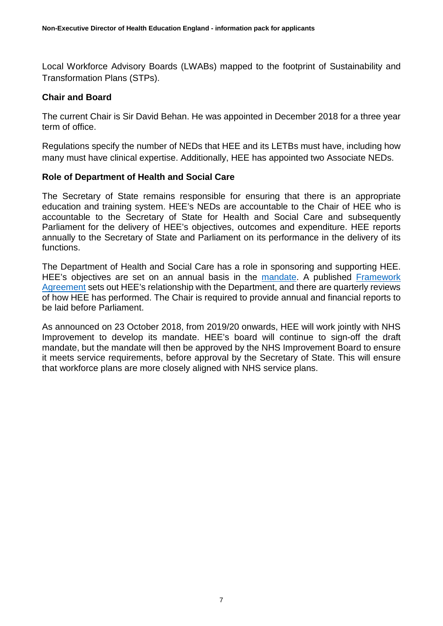Local Workforce Advisory Boards (LWABs) mapped to the footprint of Sustainability and Transformation Plans (STPs).

#### **Chair and Board**

The current Chair is Sir David Behan. He was appointed in December 2018 for a three year term of office.

Regulations specify the number of NEDs that HEE and its LETBs must have, including how many must have clinical expertise. Additionally, HEE has appointed two Associate NEDs.

#### **Role of Department of Health and Social Care**

The Secretary of State remains responsible for ensuring that there is an appropriate education and training system. HEE's NEDs are accountable to the Chair of HEE who is accountable to the Secretary of State for Health and Social Care and subsequently Parliament for the delivery of HEE's objectives, outcomes and expenditure. HEE reports annually to the Secretary of State and Parliament on its performance in the delivery of its functions.

The Department of Health and Social Care has a role in sponsoring and supporting HEE. HEE's objectives are set on an annual basis in the [mandate.](https://www.gov.uk/government/publications/health-education-england-mandate-2019-to-2020) A published [Framework](https://www.gov.uk/government/publications/dhsc-and-hee-framework-agreement-2018-to-2021)  [Agreement](https://www.gov.uk/government/publications/dhsc-and-hee-framework-agreement-2018-to-2021) sets out HEE's relationship with the Department, and there are quarterly reviews of how HEE has performed. The Chair is required to provide annual and financial reports to be laid before Parliament.

As announced on 23 October 2018, from 2019/20 onwards, HEE will work jointly with NHS Improvement to develop its mandate. HEE's board will continue to sign-off the draft mandate, but the mandate will then be approved by the NHS Improvement Board to ensure it meets service requirements, before approval by the Secretary of State. This will ensure that workforce plans are more closely aligned with NHS service plans.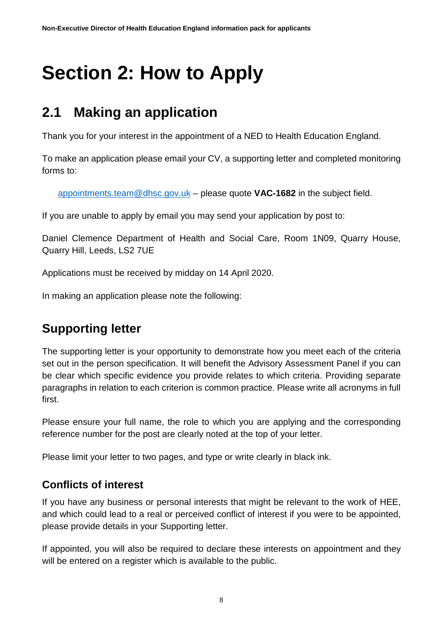# <span id="page-7-0"></span>**Section 2: How to Apply**

# <span id="page-7-1"></span>**2.1 Making an application**

Thank you for your interest in the appointment of a NED to Health Education England.

To make an application please email your CV, a supporting letter and completed monitoring forms to:

[appointments.team@dhsc.gov.uk](mailto:appointments.team@dhsc.gov.uk) – please quote **VAC-1682** in the subject field.

If you are unable to apply by email you may send your application by post to:

Daniel Clemence Department of Health and Social Care, Room 1N09, Quarry House, Quarry Hill, Leeds, LS2 7UE

Applications must be received by midday on 14 April 2020.

In making an application please note the following:

## **Supporting letter**

The supporting letter is your opportunity to demonstrate how you meet each of the criteria set out in the person specification. It will benefit the Advisory Assessment Panel if you can be clear which specific evidence you provide relates to which criteria. Providing separate paragraphs in relation to each criterion is common practice. Please write all acronyms in full first.

Please ensure your full name, the role to which you are applying and the corresponding reference number for the post are clearly noted at the top of your letter.

Please limit your letter to two pages, and type or write clearly in black ink.

#### **Conflicts of interest**

If you have any business or personal interests that might be relevant to the work of HEE, and which could lead to a real or perceived conflict of interest if you were to be appointed, please provide details in your Supporting letter.

If appointed, you will also be required to declare these interests on appointment and they will be entered on a register which is available to the public.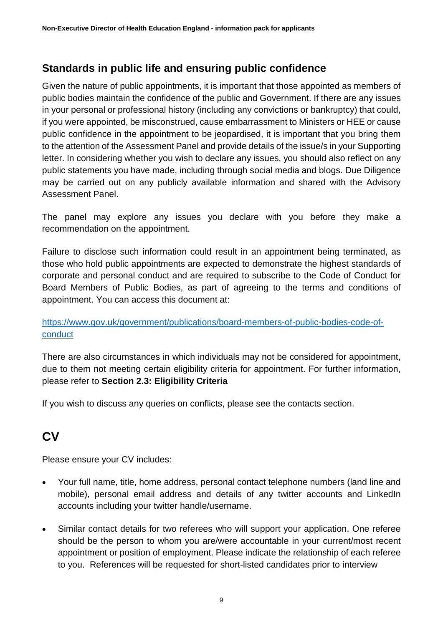#### **Standards in public life and ensuring public confidence**

Given the nature of public appointments, it is important that those appointed as members of public bodies maintain the confidence of the public and Government. If there are any issues in your personal or professional history (including any convictions or bankruptcy) that could, if you were appointed, be misconstrued, cause embarrassment to Ministers or HEE or cause public confidence in the appointment to be jeopardised, it is important that you bring them to the attention of the Assessment Panel and provide details of the issue/s in your Supporting letter. In considering whether you wish to declare any issues, you should also reflect on any public statements you have made, including through social media and blogs. Due Diligence may be carried out on any publicly available information and shared with the Advisory Assessment Panel.

The panel may explore any issues you declare with you before they make a recommendation on the appointment.

Failure to disclose such information could result in an appointment being terminated, as those who hold public appointments are expected to demonstrate the highest standards of corporate and personal conduct and are required to subscribe to the Code of Conduct for Board Members of Public Bodies, as part of agreeing to the terms and conditions of appointment. You can access this document at:

#### [https://www.gov.uk/government/publications/board-members-of-public-bodies-code-of](https://www.gov.uk/government/publications/board-members-of-public-bodies-code-of-conduct)[conduct](https://www.gov.uk/government/publications/board-members-of-public-bodies-code-of-conduct)

There are also circumstances in which individuals may not be considered for appointment, due to them not meeting certain eligibility criteria for appointment. For further information, please refer to **Section 2.3: Eligibility Criteria**

If you wish to discuss any queries on conflicts, please see the contacts section.

# **CV**

Please ensure your CV includes:

- Your full name, title, home address, personal contact telephone numbers (land line and mobile), personal email address and details of any twitter accounts and LinkedIn accounts including your twitter handle/username.
- Similar contact details for two referees who will support your application. One referee should be the person to whom you are/were accountable in your current/most recent appointment or position of employment. Please indicate the relationship of each referee to you. References will be requested for short-listed candidates prior to interview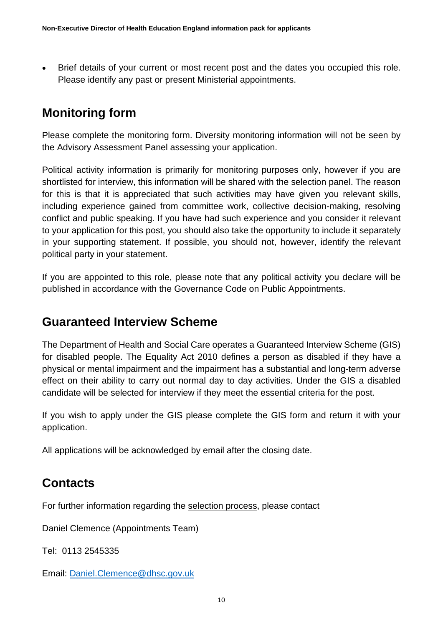• Brief details of your current or most recent post and the dates you occupied this role. Please identify any past or present Ministerial appointments.

## **Monitoring form**

Please complete the monitoring form. Diversity monitoring information will not be seen by the Advisory Assessment Panel assessing your application.

Political activity information is primarily for monitoring purposes only, however if you are shortlisted for interview, this information will be shared with the selection panel. The reason for this is that it is appreciated that such activities may have given you relevant skills, including experience gained from committee work, collective decision-making, resolving conflict and public speaking. If you have had such experience and you consider it relevant to your application for this post, you should also take the opportunity to include it separately in your supporting statement. If possible, you should not, however, identify the relevant political party in your statement.

If you are appointed to this role, please note that any political activity you declare will be published in accordance with the Governance Code on Public Appointments.

### **Guaranteed Interview Scheme**

The Department of Health and Social Care operates a Guaranteed Interview Scheme (GIS) for disabled people. The Equality Act 2010 defines a person as disabled if they have a physical or mental impairment and the impairment has a substantial and long-term adverse effect on their ability to carry out normal day to day activities. Under the GIS a disabled candidate will be selected for interview if they meet the essential criteria for the post.

If you wish to apply under the GIS please complete the GIS form and return it with your application.

All applications will be acknowledged by email after the closing date.

## **Contacts**

For further information regarding the selection process, please contact

Daniel Clemence (Appointments Team)

Tel: 0113 2545335

Email: [Daniel.Clemence@dhsc.gov.uk](mailto:Daniel.Clemence@dhsc.gov.uk)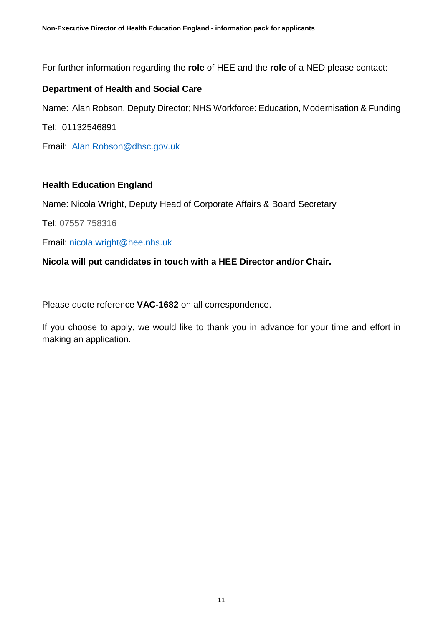For further information regarding the **role** of HEE and the **role** of a NED please contact:

#### **Department of Health and Social Care**

Name: Alan Robson, Deputy Director; NHS Workforce: Education, Modernisation & Funding

Tel: 01132546891

Email: [Alan.Robson@dhsc.gov.uk](mailto:Alan.Robson@dhsc.gov.uk)

#### **Health Education England**

Name: Nicola Wright, Deputy Head of Corporate Affairs & Board Secretary

Tel: 07557 758316

Email: [nicola.wright@hee.nhs.uk](mailto:nicola.wright@hee.nhs.uk) 

#### **Nicola will put candidates in touch with a HEE Director and/or Chair.**

Please quote reference **VAC-1682** on all correspondence.

If you choose to apply, we would like to thank you in advance for your time and effort in making an application.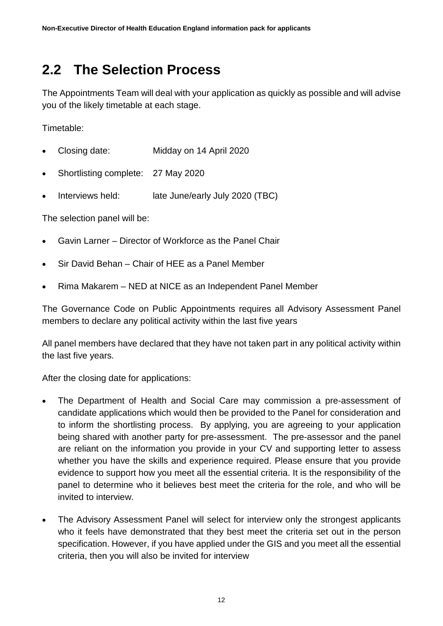# <span id="page-11-0"></span>**2.2 The Selection Process**

The Appointments Team will deal with your application as quickly as possible and will advise you of the likely timetable at each stage.

Timetable:

- Closing date: Midday on 14 April 2020
- Shortlisting complete: 27 May 2020
- Interviews held: late June/early July 2020 (TBC)

The selection panel will be:

- Gavin Larner Director of Workforce as the Panel Chair
- Sir David Behan Chair of HEE as a Panel Member
- Rima Makarem NED at NICE as an Independent Panel Member

The Governance Code on Public Appointments requires all Advisory Assessment Panel members to declare any political activity within the last five years

All panel members have declared that they have not taken part in any political activity within the last five years.

After the closing date for applications:

- The Department of Health and Social Care may commission a pre-assessment of candidate applications which would then be provided to the Panel for consideration and to inform the shortlisting process. By applying, you are agreeing to your application being shared with another party for pre-assessment. The pre-assessor and the panel are reliant on the information you provide in your CV and supporting letter to assess whether you have the skills and experience required. Please ensure that you provide evidence to support how you meet all the essential criteria. It is the responsibility of the panel to determine who it believes best meet the criteria for the role, and who will be invited to interview.
- The Advisory Assessment Panel will select for interview only the strongest applicants who it feels have demonstrated that they best meet the criteria set out in the person specification. However, if you have applied under the GIS and you meet all the essential criteria, then you will also be invited for interview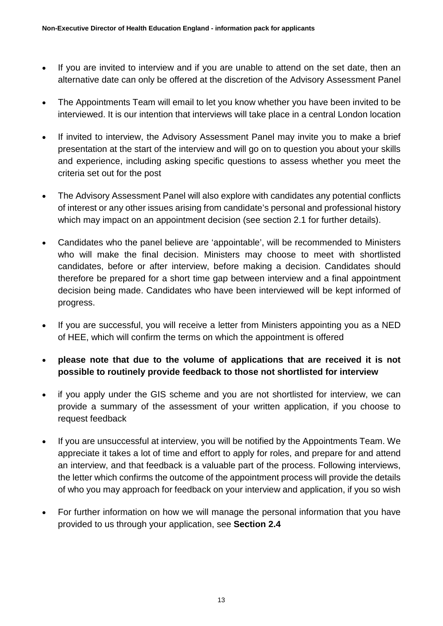- If you are invited to interview and if you are unable to attend on the set date, then an alternative date can only be offered at the discretion of the Advisory Assessment Panel
- The Appointments Team will email to let you know whether you have been invited to be interviewed. It is our intention that interviews will take place in a central London location
- If invited to interview, the Advisory Assessment Panel may invite you to make a brief presentation at the start of the interview and will go on to question you about your skills and experience, including asking specific questions to assess whether you meet the criteria set out for the post
- The Advisory Assessment Panel will also explore with candidates any potential conflicts of interest or any other issues arising from candidate's personal and professional history which may impact on an appointment decision (see section 2.1 for further details).
- Candidates who the panel believe are 'appointable', will be recommended to Ministers who will make the final decision. Ministers may choose to meet with shortlisted candidates, before or after interview, before making a decision. Candidates should therefore be prepared for a short time gap between interview and a final appointment decision being made. Candidates who have been interviewed will be kept informed of progress.
- If you are successful, you will receive a letter from Ministers appointing you as a NED of HEE, which will confirm the terms on which the appointment is offered
- **please note that due to the volume of applications that are received it is not possible to routinely provide feedback to those not shortlisted for interview**
- if you apply under the GIS scheme and you are not shortlisted for interview, we can provide a summary of the assessment of your written application, if you choose to request feedback
- If you are unsuccessful at interview, you will be notified by the Appointments Team. We appreciate it takes a lot of time and effort to apply for roles, and prepare for and attend an interview, and that feedback is a valuable part of the process. Following interviews, the letter which confirms the outcome of the appointment process will provide the details of who you may approach for feedback on your interview and application, if you so wish
- For further information on how we will manage the personal information that you have provided to us through your application, see **Section 2.4**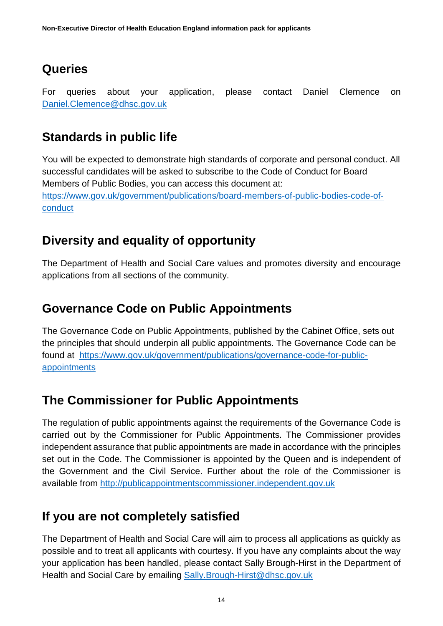### **Queries**

For queries about your application, please contact Daniel Clemence on [Daniel.Clemence@dhsc.gov.uk](mailto:Daniel.Clemence@dhsc.gov.uk)

## **Standards in public life**

You will be expected to demonstrate high standards of corporate and personal conduct. All successful candidates will be asked to subscribe to the Code of Conduct for Board Members of Public Bodies, you can access this document at: [https://www.gov.uk/government/publications/board-members-of-public-bodies-code-of](https://www.gov.uk/government/publications/board-members-of-public-bodies-code-of-conduct)[conduct](https://www.gov.uk/government/publications/board-members-of-public-bodies-code-of-conduct)

## **Diversity and equality of opportunity**

The Department of Health and Social Care values and promotes diversity and encourage applications from all sections of the community.

## **Governance Code on Public Appointments**

The Governance Code on Public Appointments, published by the Cabinet Office, sets out the principles that should underpin all public appointments. The Governance Code can be found at [https://www.gov.uk/government/publications/governance-code-for-public](https://www.gov.uk/government/publications/governance-code-for-public-appointments)[appointments](https://www.gov.uk/government/publications/governance-code-for-public-appointments)

# **The Commissioner for Public Appointments**

The regulation of public appointments against the requirements of the Governance Code is carried out by the Commissioner for Public Appointments. The Commissioner provides independent assurance that public appointments are made in accordance with the principles set out in the Code. The Commissioner is appointed by the Queen and is independent of the Government and the Civil Service. Further about the role of the Commissioner is available from [http://publicappointmentscommissioner.independent.gov.uk](http://publicappointmentscommissioner.independent.gov.uk/) 

## **If you are not completely satisfied**

The Department of Health and Social Care will aim to process all applications as quickly as possible and to treat all applicants with courtesy. If you have any complaints about the way your application has been handled, please contact Sally Brough-Hirst in the Department of Health and Social Care by emailing [Sally.Brough-Hirst@dhsc.gov.uk](mailto:Sally.Brough-Hirst@dhsc.gov.uk)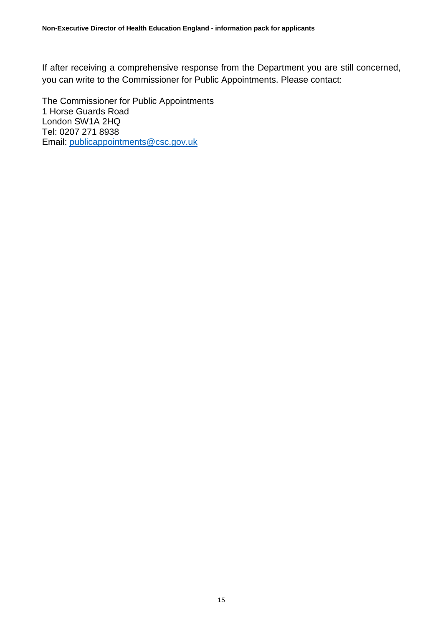If after receiving a comprehensive response from the Department you are still concerned, you can write to the Commissioner for Public Appointments. Please contact:

The Commissioner for Public Appointments 1 Horse Guards Road London SW1A 2HQ Tel: 0207 271 8938 Email: [publicappointments@csc.gov.uk](mailto:publicappointments@csc.gsi.gov.uk)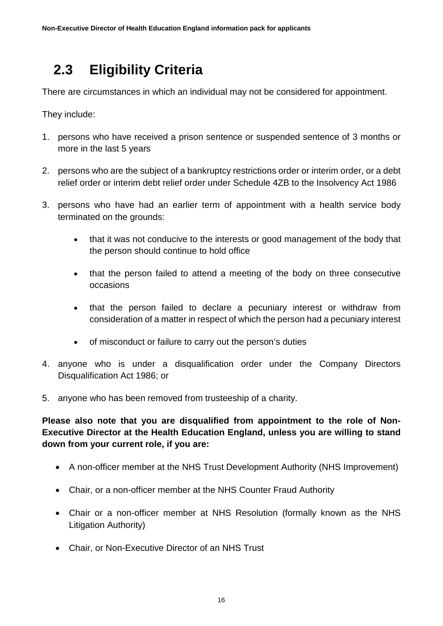# <span id="page-15-0"></span> **2.3 Eligibility Criteria**

There are circumstances in which an individual may not be considered for appointment.

They include:

- 1. persons who have received a prison sentence or suspended sentence of 3 months or more in the last 5 years
- 2. persons who are the subject of a bankruptcy restrictions order or interim order, or a debt relief order or interim debt relief order under Schedule 4ZB to the Insolvency Act 1986
- 3. persons who have had an earlier term of appointment with a health service body terminated on the grounds:
	- that it was not conducive to the interests or good management of the body that the person should continue to hold office
	- that the person failed to attend a meeting of the body on three consecutive occasions
	- that the person failed to declare a pecuniary interest or withdraw from consideration of a matter in respect of which the person had a pecuniary interest
	- of misconduct or failure to carry out the person's duties
- 4. anyone who is under a disqualification order under the Company Directors Disqualification Act 1986; or
- 5. anyone who has been removed from trusteeship of a charity.

**Please also note that you are disqualified from appointment to the role of Non-Executive Director at the Health Education England, unless you are willing to stand down from your current role, if you are:**

- A non-officer member at the NHS Trust Development Authority (NHS Improvement)
- Chair, or a non-officer member at the NHS Counter Fraud Authority
- Chair or a non-officer member at NHS Resolution (formally known as the NHS Litigation Authority)
- Chair, or Non-Executive Director of an NHS Trust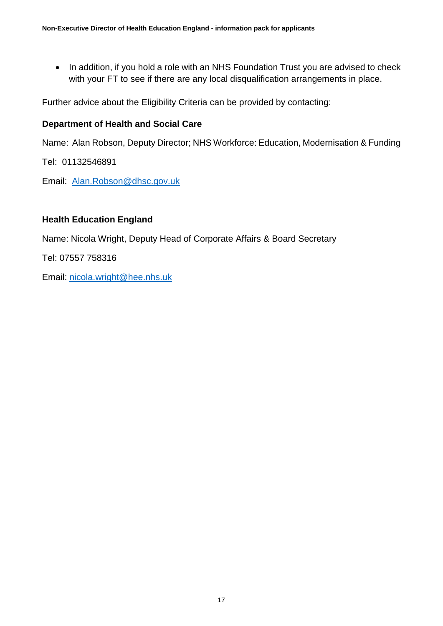• In addition, if you hold a role with an NHS Foundation Trust you are advised to check with your FT to see if there are any local disqualification arrangements in place.

Further advice about the Eligibility Criteria can be provided by contacting:

#### **Department of Health and Social Care**

Name: Alan Robson, Deputy Director; NHS Workforce: Education, Modernisation & Funding

Tel: 01132546891

Email: [Alan.Robson@dhsc.gov.uk](mailto:Alan.Robson@dhsc.gov.uk)

#### **Health Education England**

Name: Nicola Wright, Deputy Head of Corporate Affairs & Board Secretary

Tel: 07557 758316

Email: [nicola.wright@hee.nhs.uk](mailto:nicola.wright@hee.nhs.uk)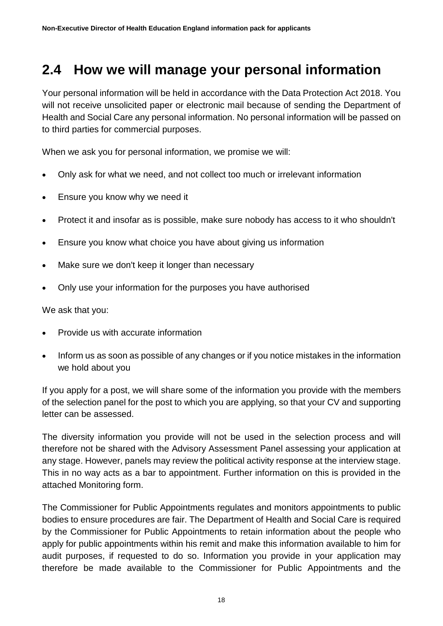# <span id="page-17-0"></span>**2.4 How we will manage your personal information**

Your personal information will be held in accordance with the Data Protection Act 2018. You will not receive unsolicited paper or electronic mail because of sending the Department of Health and Social Care any personal information. No personal information will be passed on to third parties for commercial purposes.

When we ask you for personal information, we promise we will:

- Only ask for what we need, and not collect too much or irrelevant information
- Ensure you know why we need it
- Protect it and insofar as is possible, make sure nobody has access to it who shouldn't
- Ensure you know what choice you have about giving us information
- Make sure we don't keep it longer than necessary
- Only use your information for the purposes you have authorised

We ask that you:

- Provide us with accurate information
- Inform us as soon as possible of any changes or if you notice mistakes in the information we hold about you

If you apply for a post, we will share some of the information you provide with the members of the selection panel for the post to which you are applying, so that your CV and supporting letter can be assessed.

The diversity information you provide will not be used in the selection process and will therefore not be shared with the Advisory Assessment Panel assessing your application at any stage. However, panels may review the political activity response at the interview stage. This in no way acts as a bar to appointment. Further information on this is provided in the attached Monitoring form.

The Commissioner for Public Appointments regulates and monitors appointments to public bodies to ensure procedures are fair. The Department of Health and Social Care is required by the Commissioner for Public Appointments to retain information about the people who apply for public appointments within his remit and make this information available to him for audit purposes, if requested to do so. Information you provide in your application may therefore be made available to the Commissioner for Public Appointments and the